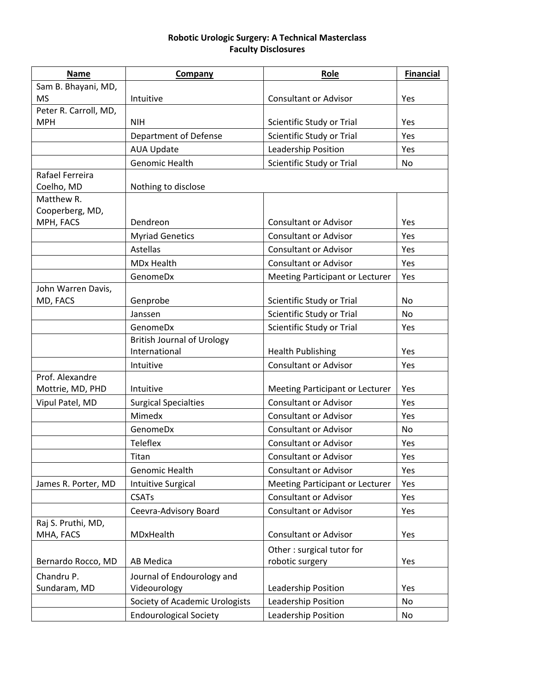## **Robotic Urologic Surgery: A Technical Masterclass Faculty Disclosures**

| <b>Name</b>                  | Company                                            | Role                            | <b>Financial</b> |
|------------------------------|----------------------------------------------------|---------------------------------|------------------|
| Sam B. Bhayani, MD,          |                                                    |                                 |                  |
| <b>MS</b>                    | Intuitive                                          | <b>Consultant or Advisor</b>    | Yes              |
| Peter R. Carroll, MD,        |                                                    |                                 |                  |
| <b>MPH</b>                   | <b>NIH</b>                                         | Scientific Study or Trial       | Yes              |
|                              | Department of Defense                              | Scientific Study or Trial       | Yes              |
|                              | <b>AUA Update</b>                                  | Leadership Position             | Yes              |
|                              | Genomic Health                                     | Scientific Study or Trial       | No.              |
| Rafael Ferreira              |                                                    |                                 |                  |
| Coelho, MD                   | Nothing to disclose                                |                                 |                  |
| Matthew R.                   |                                                    |                                 |                  |
| Cooperberg, MD,<br>MPH, FACS | Dendreon                                           | <b>Consultant or Advisor</b>    | Yes              |
|                              |                                                    | <b>Consultant or Advisor</b>    |                  |
|                              | <b>Myriad Genetics</b>                             |                                 | Yes              |
|                              | <b>Astellas</b>                                    | <b>Consultant or Advisor</b>    | Yes              |
|                              | <b>MDx Health</b>                                  | <b>Consultant or Advisor</b>    | Yes              |
|                              | GenomeDx                                           | Meeting Participant or Lecturer | Yes              |
| John Warren Davis,           |                                                    |                                 |                  |
| MD, FACS                     | Genprobe                                           | Scientific Study or Trial       | No.              |
|                              | Janssen                                            | Scientific Study or Trial       | <b>No</b>        |
|                              | GenomeDx                                           | Scientific Study or Trial       | Yes              |
|                              | <b>British Journal of Urology</b><br>International | <b>Health Publishing</b>        | Yes              |
|                              | Intuitive                                          | <b>Consultant or Advisor</b>    | Yes              |
| Prof. Alexandre              |                                                    |                                 |                  |
| Mottrie, MD, PHD             | Intuitive                                          | Meeting Participant or Lecturer | Yes              |
| Vipul Patel, MD              | <b>Surgical Specialties</b>                        | <b>Consultant or Advisor</b>    | Yes              |
|                              | Mimedx                                             | <b>Consultant or Advisor</b>    | Yes              |
|                              | GenomeDx                                           | <b>Consultant or Advisor</b>    | No.              |
|                              | Teleflex                                           | <b>Consultant or Advisor</b>    | Yes              |
|                              | Titan                                              | <b>Consultant or Advisor</b>    | Yes              |
|                              | Genomic Health                                     | <b>Consultant or Advisor</b>    | Yes              |
| James R. Porter, MD          | <b>Intuitive Surgical</b>                          | Meeting Participant or Lecturer | Yes              |
|                              | <b>CSATs</b>                                       | <b>Consultant or Advisor</b>    | Yes              |
|                              | Ceevra-Advisory Board                              | <b>Consultant or Advisor</b>    | Yes              |
| Raj S. Pruthi, MD,           |                                                    |                                 |                  |
| MHA, FACS                    | MDxHealth                                          | <b>Consultant or Advisor</b>    | Yes              |
|                              |                                                    | Other: surgical tutor for       |                  |
| Bernardo Rocco, MD           | <b>AB Medica</b>                                   | robotic surgery                 | Yes              |
|                              |                                                    |                                 |                  |
| Chandru P.<br>Sundaram, MD   | Journal of Endourology and<br>Videourology         | Leadership Position             | Yes              |
|                              |                                                    |                                 |                  |
|                              | Society of Academic Urologists                     | Leadership Position             | No               |
|                              | <b>Endourological Society</b>                      | Leadership Position             | No               |